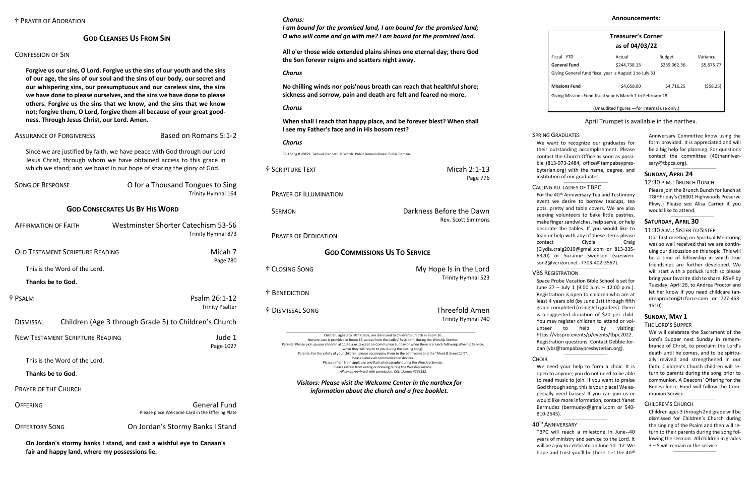#### **GOD CLEANSES US FROM SIN**

#### CONFESSION OF SIN

**Forgive us our sins, O Lord. Forgive us the sins of our youth and the sins of our age, the sins of our soul and the sins of our body, our secret and our whispering sins, our presumptuous and our careless sins, the sins we have done to please ourselves, and the sins we have done to please others. Forgive us the sins that we know, and the sins that we know not; forgive them, O Lord, forgive them all because of your great goodness. Through Jesus Christ, our Lord. Amen.**

#### ASSURANCE OF FORGIVENESS Based on Romans 5:1-2

Since we are justified by faith, we have peace with God through our Lord Jesus Christ, through whom we have obtained access to this grace in which we stand; and we boast in our hope of sharing the glory of God.

| <b>SONG OF RESPONSE</b>                | O for a Thousand Tongues to Sing<br>Trinity Hymnal 164                 |
|----------------------------------------|------------------------------------------------------------------------|
|                                        | <b>GOD CONSECRATES US BY HIS WORD</b>                                  |
| <b>AFFIRMATION OF FAITH</b>            | Westminster Shorter Catechism 53-56<br>Trinity Hymnal 873              |
| <b>OLD TESTAMENT SCRIPTURE READING</b> | Micah 7<br>Page 780                                                    |
| This is the Word of the Lord.          |                                                                        |
| Thanks be to God.                      |                                                                        |
| † PSALM                                | Psalm 26:1-12<br><b>Trinity Psalter</b>                                |
| <b>DISMISSAL</b>                       | Children (Age 3 through Grade 5) to Children's Church                  |
| <b>NEW TESTAMENT SCRIPTURE READING</b> | Jude 1<br>Page 1027                                                    |
| This is the Word of the Lord.          |                                                                        |
| Thanks be to God.                      |                                                                        |
| <b>PRAYER OF THE CHURCH</b>            |                                                                        |
| OFFERING                               | <b>General Fund</b><br>Please place Welcome Card in the Offering Plate |
| <b>OFFERTORY SONG</b>                  | On Jordan's Stormy Banks I Stand                                       |
|                                        | .                                                                      |

**On Jordan's stormy banks I stand, and cast a wishful eye to Canaan's fair and happy land, where my possessions lie.**

#### *Chorus:*

*I am bound for the promised land, I am bound for the promised land; O who will come and go with me? I am bound for the promised land.*

**All o'er those wide extended plains shines one eternal day; there God the Son forever reigns and scatters night away.**

#### *Chorus*

**No chilling winds nor pois'nous breath can reach that healthful shore; sickness and sorrow, pain and death are felt and feared no more.**

#### *Chorus*

**When shall I reach that happy place, and be forever blest? When shall I see my Father's face and in His bosom rest?**

#### *Chorus*

CCLI Song # 78859. Samuel Stennett. © Words: Public Domain Music: Public Domain.

| † SCRIPTURE TEXT                                                                                                                                                                                                                                                                                                             | Micah 2:1-13<br>Page 776                       |
|------------------------------------------------------------------------------------------------------------------------------------------------------------------------------------------------------------------------------------------------------------------------------------------------------------------------------|------------------------------------------------|
| <b>PRAYER OF ILLUMINATION</b>                                                                                                                                                                                                                                                                                                |                                                |
| <b>SERMON</b>                                                                                                                                                                                                                                                                                                                | Darkness Before the Dawn<br>Rev. Scott Simmons |
| <b>PRAYER OF DEDICATION</b>                                                                                                                                                                                                                                                                                                  |                                                |
| <b>GOD COMMISSIONS US TO SERVICE</b>                                                                                                                                                                                                                                                                                         |                                                |
| † CLOSING SONG                                                                                                                                                                                                                                                                                                               | My Hope Is in the Lord<br>Trinity Hymnal 523   |
| † BENEDICTION                                                                                                                                                                                                                                                                                                                |                                                |
| † DISMISSAL SONG                                                                                                                                                                                                                                                                                                             | <b>Threefold Amen</b><br>Trinity Hymnal 740    |
| Children, ages 3 to Fifth Grade, are dismissed to Children's Church in Room 20.<br>Nursery care is provided in Room 13, across from the Ladies' Restroom, during the Worship Service.<br>Parents: Please pick up your children at 11:45 a.m. (except on Communion Sunday or when there is a lunch following Worship Service, |                                                |

We want to recognize our graduates for their outstanding accomplishment. Please contact the Church Office as soon as possible (813-973-2484, office@tampabaypresbyterian.org) with the name, degree, and institution of our graduates.  $\_$ 

#### when they will return to you during the closing song). Parents: For the safety of your children, please accompany them to the bathrooms and the "Meet & Greet Café". Please silence all communication devices. Please refrain from applause and flash photography during the Worship Service. Please refrain from eating or drinking during the Worship Service. *All songs reprinted with permission. CCLI License #264182.*

For the 40<sup>th</sup> Anniversary Tea and Testimony event we desire to borrow teacups, tea pots, pretty and table covers. We are also seeking volunteers to bake little pastries, make finger sandwiches, help serve, or help decorate the tables. If you would like to loan or help with any of these items please contact Clydia Craig [\(Clydia.craig2019@gmail.com](mailto:Clydia.craig2019@gmail.com) or 813-335- 6320) or Suzanne Swenson [\(suzswen](mailto:suzswenson2@verizon.net)[son2@verizon.net](mailto:suzswenson2@verizon.net) -7703-402-3567).

#### $\_$ VBS REGISTRATION

#### *Visitors: Please visit the Welcome Center in the narthex for information about the church and a free booklet.*

TBPC will reach a milestone in June--40 years of ministry and service to the Lord. It will be a joy to celebrate on June 10 - 12. We hope and trust you'll be there. Let the 40<sup>th</sup>

|                                                            | <b>Treasurer's Corner</b>                    |               |            |
|------------------------------------------------------------|----------------------------------------------|---------------|------------|
|                                                            | as of 04/03/22                               |               |            |
| Fiscal YTD                                                 | Actual                                       | <b>Budget</b> | Variance   |
| <b>General Fund</b>                                        | \$244.738.13                                 | \$239,062.36  | \$5,675.77 |
| Giving General fund fiscal year is August 1 to July 31     |                                              |               |            |
| <b>Missions Fund</b>                                       | \$4,658.00                                   | \$4,716.25    | (\$58.25)  |
| Giving Missions Fund fiscal year is March 1 to February 28 |                                              |               |            |
|                                                            | (Unaudited figures - for internal use only.) |               |            |

#### April Trumpet is available in the narthex.

Anniversary Committee know using the form provided. It is appreciated and will be a big help for planning. For questions contact the committee (40thanniversary@tbpca.org).

 $\_$ 

#### **SUNDAY, APRIL 24**

#### 12:30 P.M.: BRUNCH BUNCH

Please join the Brunch Bunch for lunch at TGIF Friday's (18001 Highwoods Preserve Pkwy.) Please see Alisa Carrier if you would like to attend.

 $\_$ 

#### **SATURDAY, APRIL 30**

#### 11:30 A.M.: SISTER TO SISTER

Our first meeting on Spiritual Mentoring was so well received that we are continuing our discussion on this topic. This will be a time of fellowship in which true friendships are further developed. We will start with a potluck lunch so please bring your favorite dish to share. RSVP by Tuesday, April 26, to Andrea Proctor and let her know if you need childcare [\(an](mailto:andreaproctor@tcforce.com)[dreaproctor@tcforce.com](mailto:andreaproctor@tcforce.com) or 727-453- 1510).

 $\_$ 

#### **SUNDAY, MAY 1**

#### THE LORD'S SUPPER

We will celebrate the Sacrament of the Lord's Supper next Sunday in remembrance of Christ, to proclaim the Lord's death until he comes, and to be spiritually revived and strengthened in our faith. Children's Church children will return to parents during the song prior to communion. A Deacons' Offering for the Benevolence Fund will follow the Communion Service.

#### CHILDREN'S CHURCH

Children ages 3 through 2nd grade will be dismissed for Children's Church during the singing of the Psalm and then will return to their parents during the song following the sermon. All children in grades 3 – 5 will remain in the service.

 $\_$ 

 $\_$ 

# SPRING GRADUATES

#### CALLING ALL LADIES OF TBPC

Space Probe Vacation Bible School is set for June 27 – July 1 (9:00 a.m. – 12:00 p.m.). Registration is open to children who are at least 4 years old (by June 1st) through fifth grade completed (rising 6th graders). There is a suggested donation of \$20 per child. You may register children to attend or volunteer to help by visiting: [https://vbspro.events/p/events/tbpc2022.](https://vbspro.events/p/events/tbpc2022) Registration questions: Contact Debbie Jordan [\(vbs@tampabaypresbyterian.org\)](mailto:vbs@tampabaypresbyterian.org). \_\_\_\_\_\_\_\_\_\_\_\_\_\_\_\_\_\_\_\_\_\_\_\_\_\_\_\_\_\_\_\_\_\_\_

#### **CHOIR**

We need your help to form a choir. It is open to anyone; you do not need to be able to read music to join. If you want to praise God through song, this is your place! We especially need basses! If you can join us or would like more information, contact Yanet Bermudez [\(bermudyx@gmail.com](mailto:bermudyx@gmail.com%20or%20540-810-2545) or 540- [810-2545\)](mailto:bermudyx@gmail.com%20or%20540-810-2545).

 $\_$ 

# 40TH ANNIVERSARY